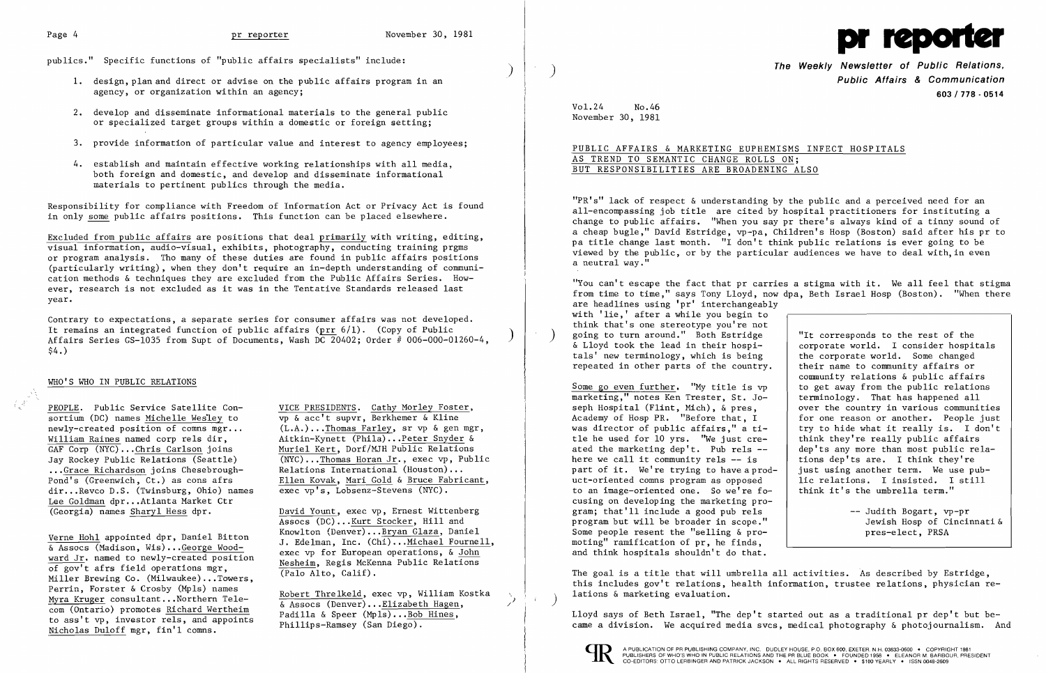publics." Specific functions of "public affairs specialists" include:

)

- 1. design, plan and direct or advise on the public affairs program in an agency, or organization within an agency;
- 2. develop and disseminate informational materials to the general public or specialized target groups within a domestic or foreign setting;
- 3. provide information of particular value and interest to agency employees;
- 4. establish and maintain effective working relationships with all media, both foreign and domestic, and develop and disseminate informational materials to pertinent publics through the media.

Responsibility for compliance with Freedom of Information Act or Privacy Act is found in only some public affairs positions. This function can be placed elsewhere.

Excluded from public affairs are positions that deal primarily with writing, editing, visual information, audio-visual, exhibits, photography, conducting training prgms or program analysis. Tho many of these duties are found in public affairs positions (particularly writing), when they don't require an in-depth understanding of communication methods & techniques they are excluded from the Public Affairs Series. However, research is not excluded as it was in the Tentative Standards released last year.

Contrary to expectations, a separate series for consumer affairs was not developed.<br>It remains an integrated function of public affairs (prr  $6/1$ ). (Copy of Public Affairs Series GS-1035 from Supt of Documents, Wash DC 20402; Order # 006-000-01260-4  $$4.$ )

# WHO'S WHO IN PUBLIC RELATIONS

 $\frac{PECPLE}{PECPLE}$ . Public Service Satellite Con-<br>sortium (DC) names Michelle Wesley to  $\frac{VICE \text{ PRESIDENTS}}{VP \text{ @  } \text{ @  } \text{ @  }}$  Serkhemer & Kline sortium (DC) names Michelle Wesley to<br>newly-created position of comns mgr... newly-created position of comns mgr... (L.A.)... Thomas Farley, sr vp & gen mgr,<br>William Raines named corp rels dir, Aitkin-Kynett (Phila)... Peter Snyder & William Raines named corp rels dir,<br>
GAF Corp (NYC)...Chris Carlson joins Muriel Kert, Dorf/MJH Public Relations GAF Corp (NYC)...Chris Carlson joins Muriel Kert, Dorf/MJH Public Relations<br>Jay Rockey Public Relations (Seattle) (NYC)...Thomas Horan Jr., exec vp, Pub. ... Grace Richardson joins Chesebrough-<br>Pond's (Greenwich, Ct.) as cons afrs dir...Revco D.S. (Twinsburg, Ohio) names Lee Goldman dpr...Atlanta Market Ctr<br>
(Georgia) names Sharyl Hess dpr.

ward Jr. named to newly-created position<br>
of gov't afrs field operations mgr,<br>
Miller Brewing Co. (Milwaukee)...Towers,<br>
Perrin, Forster & Crosby (Mpls) names Perrin, Forster & Crosby (Mpls) names<br>
Myra Kruger consultant...Northern Tele-<br>
com (Ontario) promotes <u>Richard Wertheim</u><br>
to ass't vp, investor rels, and appoints<br>
Nicholas Duloff mgr, fin'l comns.<br>
Nicholas Duloff mgr, f

 $\overline{(NYC)\dots}$ Thomas Horan Jr., exec vp, Public Relations International (Houston)... Ellen Kovak, Mari Gold & Bruce Fabricant, exec vp's, Lobsenz-Stevens (NYC).

David Yount, exec vp, Ernest Wittenberg Assocs (DC)... Kurt Stocker, Hill and<br>Knowlton (Denver)... Bryan Glaza, Daniel Verne Hohl appointed dpr, Daniel Bitton Muowiton (Denver)...<u>Bryan Glaza</u>, Daniel<br>
& Assocs (Madison, Wis) ...<u>George Wood-</u> 2010 ... Edelman, Inc. (Chi) ... Michael Fournell,

The Weekly Newsletter of Public Relations,<br>Public Affairs & Communication 603/778·0514

community relations & public affairs<br>to get away from the public relations over the country in various communities<br>for one reason or another. People just try to hide what it really is. I don't<br>think they're really public affairs

"You can't escape the fact that pr carries a stigma with it. We all feel that stigma from time to time," says Tony Lloyd, now dpa, Beth Israel Hosp (Boston). "When there are headlines using 'pr' interchangeably with 'lie,' after a while you begin to think that's one stereotype you're not going to turn around." Both Estridge  $\begin{array}{c} \text{``It corresponds to the rest of the} \\ \text{``It corresponds to the rest of the} \\ \text{``Ito, I consider hospitals)} \end{array}$ & Lloyd took the lead in their hospi-<br>tals' new terminology, which is being<br>the corporate world. Some changed tals' new terminology, which is being  $\left\{\n\begin{array}{c}\n\text{the corporate world.} \quad \text{Some changed} \\
\text{repeated in other parts of the country.}\n\end{array}\n\right.\n\left.\n\begin{array}{c}\n\text{the corporate world.} \quad \text{Some changed} \\
\text{the input to the country.}\n\end{array}\n\right.$ repeated in other parts of the country.

> Judith Bogart, vp-pr pres-elect, PRSA

Some go even further. "My title is  $vp$  to get away from the public relation<br>marketing," notes Ken Trester, St. Jo- terminology. That has happened all marketing," notes Ken Trester, St. Jo-<br>seph Hospital (Flint, Mich), & pres. Academy of Hosp PR. "Before that, I was director of public affairs." a title he used for 10 yrs. "We just cre-<br>ated the marketing dep't. Pub rels --  $\vert$  dep'ts any more than most public relaated the marketing dep't. Pub rels  $--$  dep'ts any more than most public re<br>here we call it community rels  $--$  is fions dep'ts are. I think they're here we call it community rels  $-$  is  $\left\{\right.$  tions dep'ts are. I think they're part of it. We're trying to have a prod- just using another term. We use pubpart of it. We're trying to have a prod- just using another term. We use pub-<br>uct-oriented comns program as opposed lic relations. I insisted. I still uct-oriented comns program as opposed  $\begin{array}{c|c} 1$  ic relations. I insisted. I to an image-oriented one. So we're fo- think it's the umbrella term." to an image-oriented one. So we're focusing on developing the marketing pro gram; that'll include a good pub re1s program but will be broader in scope." | Jewish Hosp of Cincinnati & Some people resent the "selling  $\&$  promoting" ramification of pr, he finds, and think hospitals shouldn't do that.

The goal is a title that will umbrella all activities. As described by Estridge, this includes gov't relations, health information, trustee relations, physician relations & marketing evaluation.



Vo1.24 No.46 November 30, 1981

# PUBLIC AFFAIRS & MARKETING EUPHEMISMS INFECT HOSPITALS AS TREND TO SEMANTIC CHANGE ROLLS ON; BUT RESPONSIBILITIES ARE BROADENING ALSO

"PR's" lack of respect & understanding by the public and a perceived need for an all-encompassing job title are cited by hospital practitioners for instituting a change to public affairs. "When you say pr there's always kind of a tinny sound of a cheap bugle," David Estridge, vp-pa, Children's Hosp (Boston) said after his pr to pa title change last month. "I don't think public relations is ever going to be viewed by the public, or by the particular audiences we have to deal with,in even a neutral way."

Lloyd says of Beth Israel, "The dep't started out as a traditional pr dep't but became a division. We acquired media svcs, medical photography & photojournalism. And